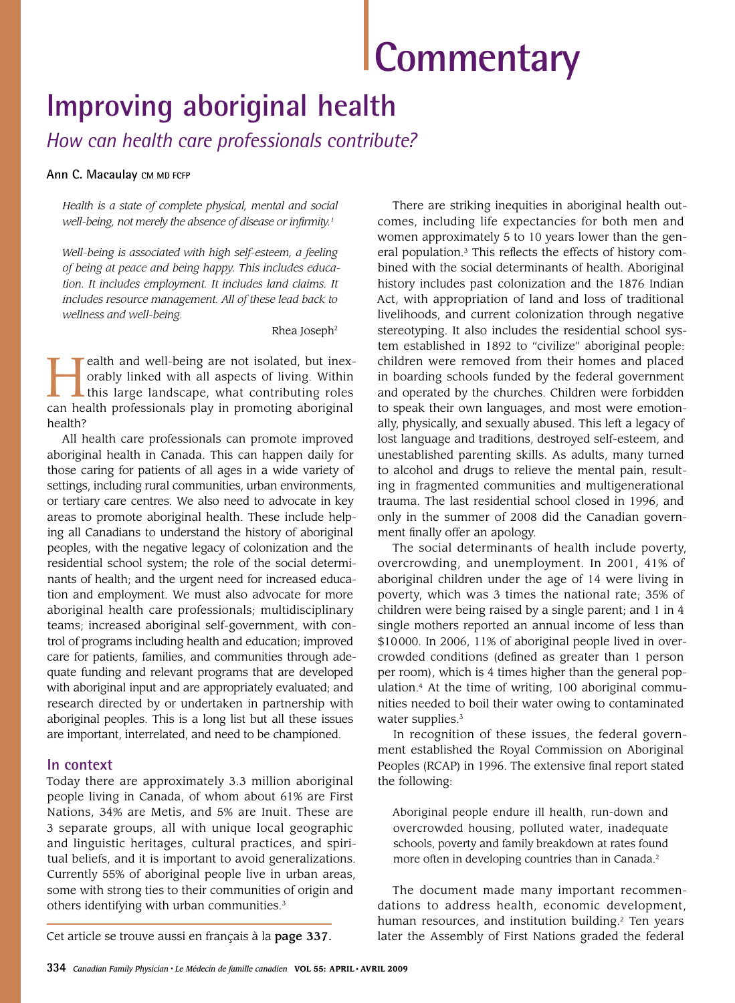# **Commentary**

# **Improving aboriginal health**

*How can health care professionals contribute?*

#### **Ann C. Macaulay CM MD FCFP**

*Health is a state of complete physical, mental and social well-being, not merely the absence of disease or infirmity.1*

*Well-being is associated with high self-esteem, a feeling of being at peace and being happy. This includes education. It includes employment. It includes land claims. It includes resource management. All of these lead back to wellness and well-being.*

Rhea Joseph2

**Health and well-being are not isolated, but inex-**<br>
orably linked with all aspects of living. Within<br>
this large landscape, what contributing roles<br>
can bealth professionals play in promoting aboriginal orably linked with all aspects of living. Within can health professionals play in promoting aboriginal health?

All health care professionals can promote improved aboriginal health in Canada. This can happen daily for those caring for patients of all ages in a wide variety of settings, including rural communities, urban environments, or tertiary care centres. We also need to advocate in key areas to promote aboriginal health. These include helping all Canadians to understand the history of aboriginal peoples, with the negative legacy of colonization and the residential school system; the role of the social determinants of health; and the urgent need for increased education and employment. We must also advocate for more aboriginal health care professionals; multidisciplinary teams; increased aboriginal self-government, with control of programs including health and education; improved care for patients, families, and communities through adequate funding and relevant programs that are developed with aboriginal input and are appropriately evaluated; and research directed by or undertaken in partnership with aboriginal peoples. This is a long list but all these issues are important, interrelated, and need to be championed.

### **In context**

Today there are approximately 3.3 million aboriginal people living in Canada, of whom about 61% are First Nations, 34% are Metis, and 5% are Inuit. These are 3 separate groups, all with unique local geographic and linguistic heritages, cultural practices, and spiritual beliefs, and it is important to avoid generalizations. Currently 55% of aboriginal people live in urban areas, some with strong ties to their communities of origin and others identifying with urban communities.<sup>3</sup>

There are striking inequities in aboriginal health outcomes, including life expectancies for both men and women approximately 5 to 10 years lower than the general population.3 This reflects the effects of history combined with the social determinants of health. Aboriginal history includes past colonization and the 1876 Indian Act, with appropriation of land and loss of traditional livelihoods, and current colonization through negative stereotyping. It also includes the residential school system established in 1892 to "civilize" aboriginal people: children were removed from their homes and placed in boarding schools funded by the federal government and operated by the churches. Children were forbidden to speak their own languages, and most were emotionally, physically, and sexually abused. This left a legacy of lost language and traditions, destroyed self-esteem, and unestablished parenting skills. As adults, many turned to alcohol and drugs to relieve the mental pain, resulting in fragmented communities and multigenerational trauma. The last residential school closed in 1996, and only in the summer of 2008 did the Canadian government finally offer an apology.

The social determinants of health include poverty, overcrowding, and unemployment. In 2001, 41% of aboriginal children under the age of 14 were living in poverty, which was 3 times the national rate; 35% of children were being raised by a single parent; and 1 in 4 single mothers reported an annual income of less than \$10000. In 2006, 11% of aboriginal people lived in overcrowded conditions (defined as greater than 1 person per room), which is 4 times higher than the general population.4 At the time of writing, 100 aboriginal communities needed to boil their water owing to contaminated water supplies.<sup>3</sup>

In recognition of these issues, the federal government established the Royal Commission on Aboriginal Peoples (RCAP) in 1996. The extensive final report stated the following:

Aboriginal people endure ill health, run-down and overcrowded housing, polluted water, inadequate schools, poverty and family breakdown at rates found more often in developing countries than in Canada.<sup>2</sup>

The document made many important recommendations to address health, economic development, human resources, and institution building.<sup>2</sup> Ten years Cet article se trouve aussi en français à la page 337. later the Assembly of First Nations graded the federal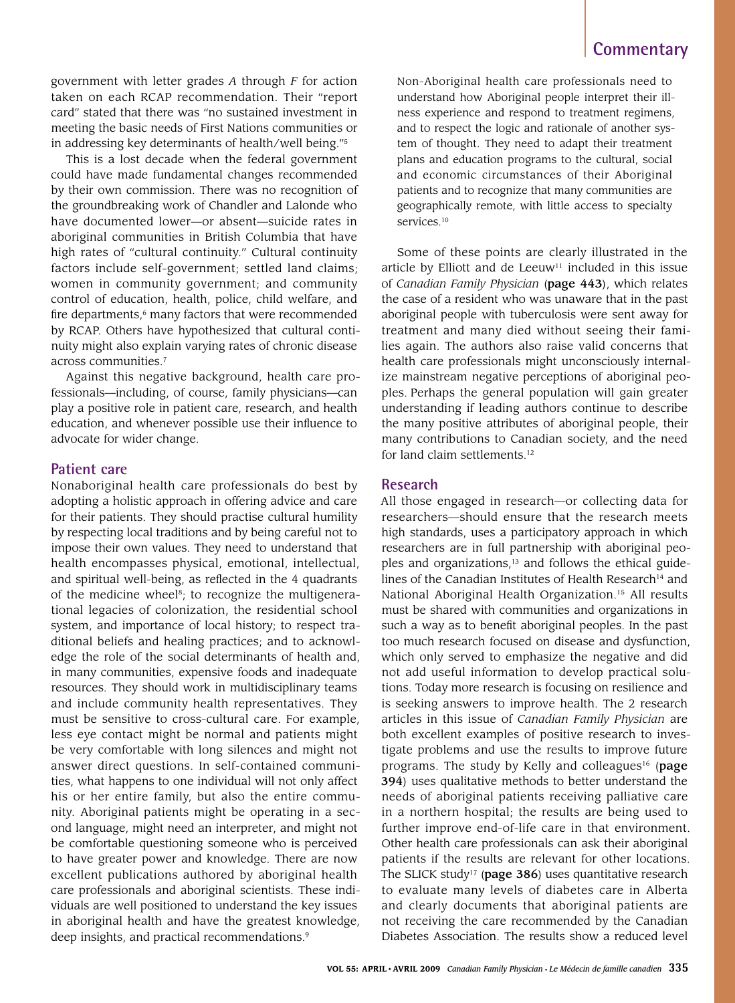## **Commentary**

government with letter grades *A* through *F* for action taken on each RCAP recommendation. Their "report card" stated that there was "no sustained investment in meeting the basic needs of First Nations communities or in addressing key determinants of health/well being."5

This is a lost decade when the federal government could have made fundamental changes recommended by their own commission. There was no recognition of the groundbreaking work of Chandler and Lalonde who have documented lower—or absent—suicide rates in aboriginal communities in British Columbia that have high rates of "cultural continuity." Cultural continuity factors include self-government; settled land claims; women in community government; and community control of education, health, police, child welfare, and fire departments,<sup>6</sup> many factors that were recommended by RCAP. Others have hypothesized that cultural continuity might also explain varying rates of chronic disease across communities.7

Against this negative background, health care professionals—including, of course, family physicians—can play a positive role in patient care, research, and health education, and whenever possible use their influence to advocate for wider change.

#### **Patient care**

Nonaboriginal health care professionals do best by adopting a holistic approach in offering advice and care for their patients. They should practise cultural humility by respecting local traditions and by being careful not to impose their own values. They need to understand that health encompasses physical, emotional, intellectual, and spiritual well-being, as reflected in the 4 quadrants of the medicine wheel<sup>8</sup>; to recognize the multigenerational legacies of colonization, the residential school system, and importance of local history; to respect traditional beliefs and healing practices; and to acknowledge the role of the social determinants of health and, in many communities, expensive foods and inadequate resources. They should work in multidisciplinary teams and include community health representatives. They must be sensitive to cross-cultural care. For example, less eye contact might be normal and patients might be very comfortable with long silences and might not answer direct questions. In self-contained communities, what happens to one individual will not only affect his or her entire family, but also the entire community. Aboriginal patients might be operating in a second language, might need an interpreter, and might not be comfortable questioning someone who is perceived to have greater power and knowledge. There are now excellent publications authored by aboriginal health care professionals and aboriginal scientists. These individuals are well positioned to understand the key issues in aboriginal health and have the greatest knowledge, deep insights, and practical recommendations.<sup>9</sup>

Non-Aboriginal health care professionals need to understand how Aboriginal people interpret their illness experience and respond to treatment regimens, and to respect the logic and rationale of another system of thought. They need to adapt their treatment plans and education programs to the cultural, social and economic circumstances of their Aboriginal patients and to recognize that many communities are geographically remote, with little access to specialty services.<sup>10</sup>

Some of these points are clearly illustrated in the article by Elliott and de Leeuw $11$  included in this issue of *Canadian Family Physician* (page 443), which relates the case of a resident who was unaware that in the past aboriginal people with tuberculosis were sent away for treatment and many died without seeing their families again. The authors also raise valid concerns that health care professionals might unconsciously internalize mainstream negative perceptions of aboriginal peoples. Perhaps the general population will gain greater understanding if leading authors continue to describe the many positive attributes of aboriginal people, their many contributions to Canadian society, and the need for land claim settlements.<sup>12</sup>

#### **Research**

All those engaged in research—or collecting data for researchers—should ensure that the research meets high standards, uses a participatory approach in which researchers are in full partnership with aboriginal peoples and organizations,<sup>13</sup> and follows the ethical guidelines of the Canadian Institutes of Health Research<sup>14</sup> and National Aboriginal Health Organization.15 All results must be shared with communities and organizations in such a way as to benefit aboriginal peoples. In the past too much research focused on disease and dysfunction, which only served to emphasize the negative and did not add useful information to develop practical solutions. Today more research is focusing on resilience and is seeking answers to improve health. The 2 research articles in this issue of *Canadian Family Physician* are both excellent examples of positive research to investigate problems and use the results to improve future programs. The study by Kelly and colleagues<sup>16</sup> (page 394) uses qualitative methods to better understand the needs of aboriginal patients receiving palliative care in a northern hospital; the results are being used to further improve end-of-life care in that environment. Other health care professionals can ask their aboriginal patients if the results are relevant for other locations. The SLICK study<sup>17</sup> (page 386) uses quantitative research to evaluate many levels of diabetes care in Alberta and clearly documents that aboriginal patients are not receiving the care recommended by the Canadian Diabetes Association. The results show a reduced level